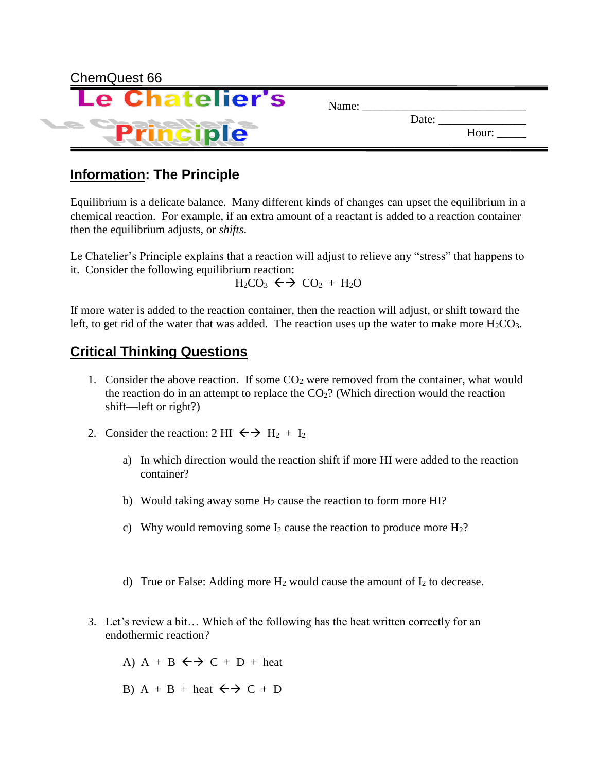| Name: |       |       |
|-------|-------|-------|
|       | Date: | Hour: |
|       |       |       |

# **Information: The Principle**

Equilibrium is a delicate balance. Many different kinds of changes can upset the equilibrium in a chemical reaction. For example, if an extra amount of a reactant is added to a reaction container then the equilibrium adjusts, or *shifts*.

Le Chatelier's Principle explains that a reaction will adjust to relieve any "stress" that happens to it. Consider the following equilibrium reaction:

 $H_2CO_3 \leftrightarrow CO_2 + H_2O$ 

If more water is added to the reaction container, then the reaction will adjust, or shift toward the left, to get rid of the water that was added. The reaction uses up the water to make more  $H_2CO_3$ .

# **Critical Thinking Questions**

- 1. Consider the above reaction. If some  $CO<sub>2</sub>$  were removed from the container, what would the reaction do in an attempt to replace the  $CO<sub>2</sub>$ ? (Which direction would the reaction shift—left or right?)
- 2. Consider the reaction: 2 HI  $\leftrightarrow$  H<sub>2</sub> + I<sub>2</sub>
	- a) In which direction would the reaction shift if more HI were added to the reaction container?
	- b) Would taking away some  $H_2$  cause the reaction to form more HI?
	- c) Why would removing some  $I_2$  cause the reaction to produce more  $H_2$ ?
	- d) True or False: Adding more  $H_2$  would cause the amount of  $I_2$  to decrease.
- 3. Let's review a bit… Which of the following has the heat written correctly for an endothermic reaction?
	- A) A + B  $\leftrightarrow$  C + D + heat
	- B)  $A + B + heat \leftarrow \rightarrow C + D$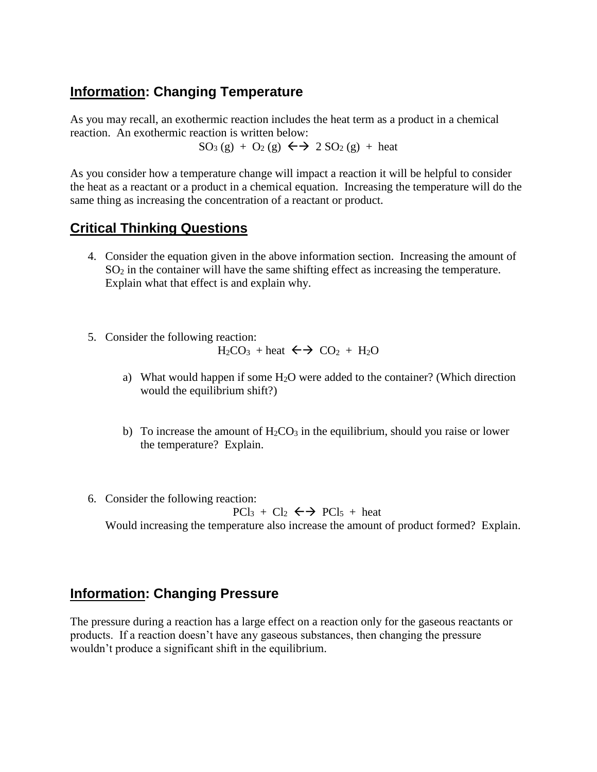## **Information: Changing Temperature**

As you may recall, an exothermic reaction includes the heat term as a product in a chemical reaction. An exothermic reaction is written below:

 $SO_3(g) + O_2(g) \leftrightarrow 2SO_2(g) + \text{heat}$ 

As you consider how a temperature change will impact a reaction it will be helpful to consider the heat as a reactant or a product in a chemical equation. Increasing the temperature will do the same thing as increasing the concentration of a reactant or product.

### **Critical Thinking Questions**

- 4. Consider the equation given in the above information section. Increasing the amount of  $SO<sub>2</sub>$  in the container will have the same shifting effect as increasing the temperature. Explain what that effect is and explain why.
- 5. Consider the following reaction:  $H_2CO_3$  + heat  $\leftrightarrow$  CO<sub>2</sub> + H<sub>2</sub>O
	- a) What would happen if some  $H_2O$  were added to the container? (Which direction would the equilibrium shift?)
	- b) To increase the amount of  $H_2CO_3$  in the equilibrium, should you raise or lower the temperature? Explain.
- 6. Consider the following reaction:  $PCl_3 + Cl_2 \leftrightarrow PCl_5 + heat$ Would increasing the temperature also increase the amount of product formed? Explain.

### **Information: Changing Pressure**

The pressure during a reaction has a large effect on a reaction only for the gaseous reactants or products. If a reaction doesn't have any gaseous substances, then changing the pressure wouldn't produce a significant shift in the equilibrium.